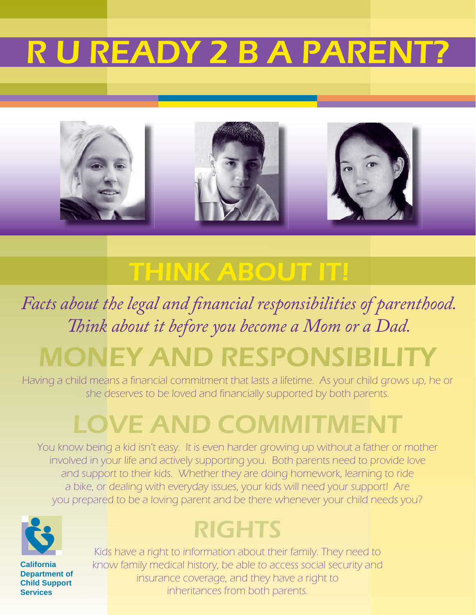# R U READY 2 B A PARENT



### THINK ABOUT IT!

### Facts about the legal and financial responsibilities of parenthood. *Th ink about it before you become a Mom or a Dad.* MONEY AND RESPONSIBILITY

Having a child means a financial commitment that lasts a lifetime. As your child grows up, he or she deserves to be loved and financially supported by both parents.

# LOVE AND COMMITMENT

You know being a kid isn't easy. It is even harder growing up without a father or mother involved in your life and actively supporting you. Both parents need to provide love and support to their kids. Whether they are doing homework, learning to ride a bike, or dealing with everyday issues, your kids will need your support! Are you prepared to be a loving parent and be there whenever your child needs you?



**California Department of Child Support Services**

### RIGHTS

Kids have a right to information about their family. They need to know family medical history, be able to access social security and insurance coverage, and they have a right to inheritances from both parents.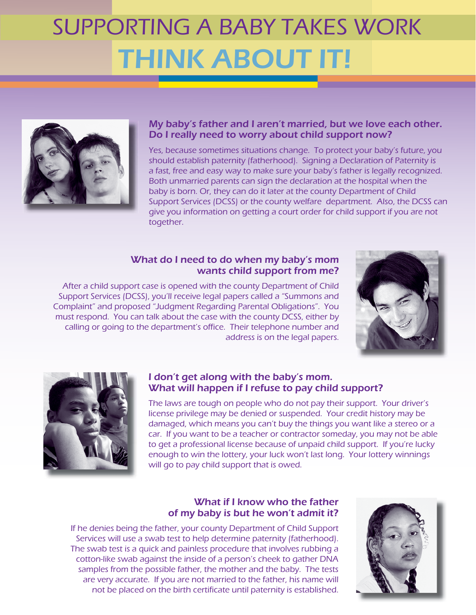# SUPPORTING A BABY TAKES WORK THINK ABOUT IT!



#### My baby's father and I aren't married, but we love each other. Do I really need to worry about child support now?

Yes, because sometimes situations change. To protect your baby's future, you should establish paternity (fatherhood). Signing a Declaration of Paternity is a fast, free and easy way to make sure your baby's father is legally recognized. Both unmarried parents can sign the declaration at the hospital when the baby is born. Or, they can do it later at the county Department of Child Support Services (DCSS) or the county welfare department. Also, the DCSS can give you information on getting a court order for child support if you are not together.

#### What do I need to do when my baby's mom wants child support from me?

After a child support case is opened with the county Department of Child Support Services (DCSS), you'll receive legal papers called a "Summons and Complaint" and proposed "Judgment Regarding Parental Obligations". You must respond. You can talk about the case with the county DCSS, either by calling or going to the department's office. Their telephone number and address is on the legal papers.





#### I don't get along with the baby's mom. What will happen if I refuse to pay child support?

The laws are tough on people who do not pay their support. Your driver's license privilege may be denied or suspended. Your credit history may be damaged, which means you can't buy the things you want like a stereo or a car. If you want to be a teacher or contractor someday, you may not be able to get a professional license because of unpaid child support. If you're lucky enough to win the lottery, your luck won't last long. Your lottery winnings will go to pay child support that is owed.

### What if I know who the father of my baby is but he won't admit it?

If he denies being the father, your county Department of Child Support Services will use a swab test to help determine paternity (fatherhood). The swab test is a quick and painless procedure that involves rubbing a cotton-like swab against the inside of a person's cheek to gather DNA samples from the possible father, the mother and the baby. The tests are very accurate. If you are not married to the father, his name will not be placed on the birth certificate until paternity is established.

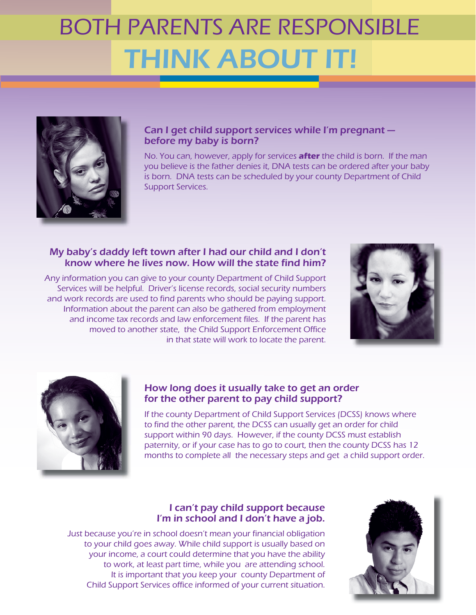## BOTH PARENTS ARE RESPONSIBLE THINK ABOUT IT!



### Can I get child support services while I'm pregnant before my baby is born?

No. You can, however, apply for services **after** the child is born. If the man you believe is the father denies it, DNA tests can be ordered after your baby is born. DNA tests can be scheduled by your county Department of Child Support Services.

#### My baby's daddy left town after I had our child and I don't know where he lives now. How will the state find him?

Any information you can give to your county Department of Child Support Services will be helpful. Driver's license records, social security numbers and work records are used to find parents who should be paying support. Information about the parent can also be gathered from employment and income tax records and law enforcement files. If the parent has moved to another state, the Child Support Enforcement Office in that state will work to locate the parent.





### How long does it usually take to get an order for the other parent to pay child support?

If the county Department of Child Support Services (DCSS) knows where to find the other parent, the DCSS can usually get an order for child support within 90 days. However, if the county DCSS must establish paternity, or if your case has to go to court, then the county DCSS has 12 months to complete all the necessary steps and get a child support order.

### I can't pay child support because I'm in school and I don't have a job.

Just because you're in school doesn't mean your financial obligation to your child goes away. While child support is usually based on your income, a court could determine that you have the ability to work, at least part time, while you are attending school. It is important that you keep your county Department of Child Support Services office informed of your current situation.